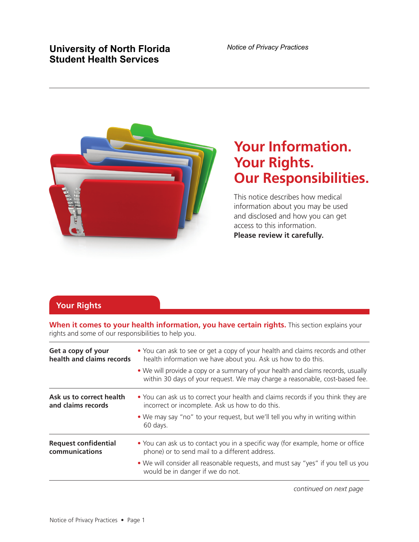# **University of North Florida Student Health Services**



# **Your Information. Your Rights. Our Responsibilities.**

This notice describes how medical information about you may be used and disclosed and how you can get access to this information. **Please review it carefully.** 

## **Your Rights**

When it comes to your health information, you have certain rights. This section explains your rights and some of our responsibilities to help you.

| Get a copy of your<br>health and claims records | • You can ask to see or get a copy of your health and claims records and other<br>health information we have about you. Ask us how to do this.<br>. We will provide a copy or a summary of your health and claims records, usually<br>within 30 days of your request. We may charge a reasonable, cost-based fee. |  |
|-------------------------------------------------|-------------------------------------------------------------------------------------------------------------------------------------------------------------------------------------------------------------------------------------------------------------------------------------------------------------------|--|
| Ask us to correct health<br>and claims records  | • You can ask us to correct your health and claims records if you think they are<br>incorrect or incomplete. Ask us how to do this.                                                                                                                                                                               |  |
|                                                 | • We may say "no" to your request, but we'll tell you why in writing within<br>60 days.                                                                                                                                                                                                                           |  |
| <b>Request confidential</b><br>communications   | • You can ask us to contact you in a specific way (for example, home or office<br>phone) or to send mail to a different address.                                                                                                                                                                                  |  |
|                                                 | • We will consider all reasonable requests, and must say "yes" if you tell us you<br>would be in danger if we do not.                                                                                                                                                                                             |  |
|                                                 | the contract of the contract of the contract of the contract of the contract of the contract of the contract of                                                                                                                                                                                                   |  |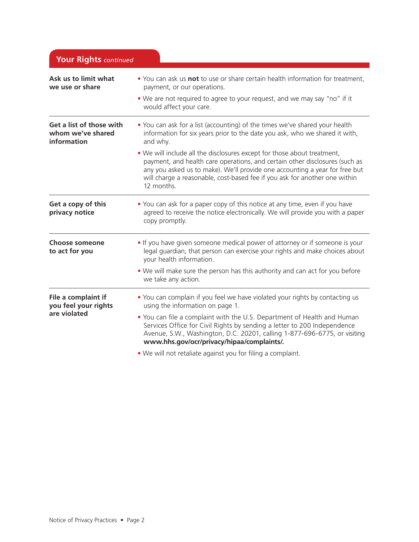| <b>Your Rights</b> continued                                 |                                                                                                                                                                                                                                                                                                                                                                                                                                                                                                             |  |
|--------------------------------------------------------------|-------------------------------------------------------------------------------------------------------------------------------------------------------------------------------------------------------------------------------------------------------------------------------------------------------------------------------------------------------------------------------------------------------------------------------------------------------------------------------------------------------------|--|
| Ask us to limit what<br>we use or share                      | • You can ask us not to use or share certain health information for treatment,<br>payment, or our operations.<br>• We are not required to agree to your request, and we may say "no" if it<br>would affect your care.                                                                                                                                                                                                                                                                                       |  |
| Get a list of those with<br>whom we've shared<br>information | • You can ask for a list (accounting) of the times we've shared your health<br>information for six years prior to the date you ask, who we shared it with,<br>and why.<br>. We will include all the disclosures except for those about treatment,<br>payment, and health care operations, and certain other disclosures (such as<br>any you asked us to make). We'll provide one accounting a year for free but<br>will charge a reasonable, cost-based fee if you ask for another one within<br>12 months. |  |
| Get a copy of this<br>privacy notice                         | • You can ask for a paper copy of this notice at any time, even if you have<br>agreed to receive the notice electronically. We will provide you with a paper<br>copy promptly.                                                                                                                                                                                                                                                                                                                              |  |
| Choose someone<br>to act for you                             | . If you have given someone medical power of attorney or if someone is your<br>legal guardian, that person can exercise your rights and make choices about<br>your health information.<br>. We will make sure the person has this authority and can act for you before<br>we take any action.                                                                                                                                                                                                               |  |
| File a complaint if<br>you feel your rights<br>are violated  | . You can complain if you feel we have violated your rights by contacting us<br>using the information on page 1.<br>. You can file a complaint with the U.S. Department of Health and Human<br>Services Office for Civil Rights by sending a letter to 200 Independence<br>Avenue, S.W., Washington, D.C. 20201, calling 1-877-696-6775, or visiting<br>www.hhs.gov/ocr/privacy/hipaa/complaints/.<br>• We will not retaliate against you for filing a complaint.                                           |  |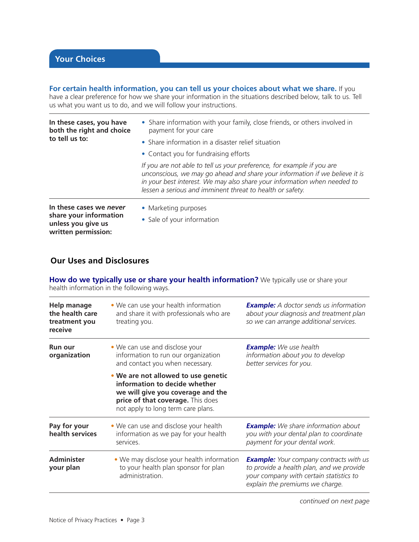**For certain health information, you can tell us your choices about what we share.** If you have a clear preference for how we share your information in the situations described below, talk to us. Tell us what you want us to do, and we will follow your instructions.

| In these cases, you have<br>both the right and choice<br>to tell us to:                        | • Share information with your family, close friends, or others involved in<br>payment for your care<br>• Share information in a disaster relief situation<br>• Contact you for fundraising efforts                                                                                             |  |
|------------------------------------------------------------------------------------------------|------------------------------------------------------------------------------------------------------------------------------------------------------------------------------------------------------------------------------------------------------------------------------------------------|--|
|                                                                                                | If you are not able to tell us your preference, for example if you are<br>unconscious, we may go ahead and share your information if we believe it is<br>in your best interest. We may also share your information when needed to<br>lessen a serious and imminent threat to health or safety. |  |
| In these cases we never<br>share your information<br>unless you give us<br>written permission: | • Marketing purposes<br>• Sale of your information                                                                                                                                                                                                                                             |  |

### **Our Uses and Disclosures**

**How do we typically use or share your health information?** We typically use or share your health information in the following ways.

| <b>Help manage</b><br>the health care<br>treatment you<br>receive | • We can use your health information<br>and share it with professionals who are<br>treating you.                                                                                     | <b>Example:</b> A doctor sends us information<br>about your diagnosis and treatment plan<br>so we can arrange additional services.                                       |
|-------------------------------------------------------------------|--------------------------------------------------------------------------------------------------------------------------------------------------------------------------------------|--------------------------------------------------------------------------------------------------------------------------------------------------------------------------|
| <b>Run our</b><br>organization                                    | • We can use and disclose your<br>information to run our organization<br>and contact you when necessary.                                                                             | <b>Example:</b> We use health<br>information about you to develop<br>better services for you.                                                                            |
|                                                                   | • We are not allowed to use genetic<br>information to decide whether<br>we will give you coverage and the<br>price of that coverage. This does<br>not apply to long term care plans. |                                                                                                                                                                          |
| Pay for your<br>health services                                   | • We can use and disclose your health<br>information as we pay for your health<br>services.                                                                                          | <b>Example:</b> We share information about<br>you with your dental plan to coordinate<br>payment for your dental work.                                                   |
| <b>Administer</b><br>your plan                                    | • We may disclose your health information<br>to your health plan sponsor for plan<br>administration.                                                                                 | <b>Example:</b> Your company contracts with us<br>to provide a health plan, and we provide<br>your company with certain statistics to<br>explain the premiums we charge. |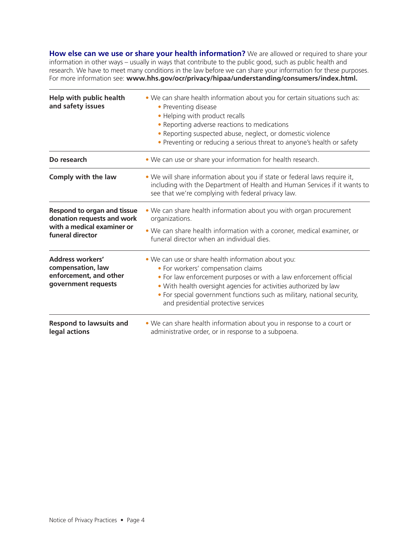**How else can we use or share your health information?** We are allowed or required to share your information in other ways – usually in ways that contribute to the public good, such as public health and research. We have to meet many conditions in the law before we can share your information for these purposes. For more information see: **www.hhs.gov/ocr/privacy/hipaa/understanding/consumers/index.html.** 

| Help with public health<br>and safety issues                                                                | . We can share health information about you for certain situations such as:<br>• Preventing disease<br>• Helping with product recalls<br>• Reporting adverse reactions to medications<br>. Reporting suspected abuse, neglect, or domestic violence<br>• Preventing or reducing a serious threat to anyone's health or safety                          |  |
|-------------------------------------------------------------------------------------------------------------|--------------------------------------------------------------------------------------------------------------------------------------------------------------------------------------------------------------------------------------------------------------------------------------------------------------------------------------------------------|--|
| Do research                                                                                                 | . We can use or share your information for health research.                                                                                                                                                                                                                                                                                            |  |
| Comply with the law                                                                                         | . We will share information about you if state or federal laws require it,<br>including with the Department of Health and Human Services if it wants to<br>see that we're complying with federal privacy law.                                                                                                                                          |  |
| Respond to organ and tissue<br>donation requests and work<br>with a medical examiner or<br>funeral director | . We can share health information about you with organ procurement<br>organizations.<br>. We can share health information with a coroner, medical examiner, or<br>funeral director when an individual dies.                                                                                                                                            |  |
| <b>Address workers'</b><br>compensation, law<br>enforcement, and other<br>government requests               | . We can use or share health information about you:<br>• For workers' compensation claims<br>• For law enforcement purposes or with a law enforcement official<br>. With health oversight agencies for activities authorized by law<br>• For special government functions such as military, national security,<br>and presidential protective services |  |
| <b>Respond to lawsuits and</b><br>legal actions                                                             | . We can share health information about you in response to a court or<br>administrative order, or in response to a subpoena.                                                                                                                                                                                                                           |  |